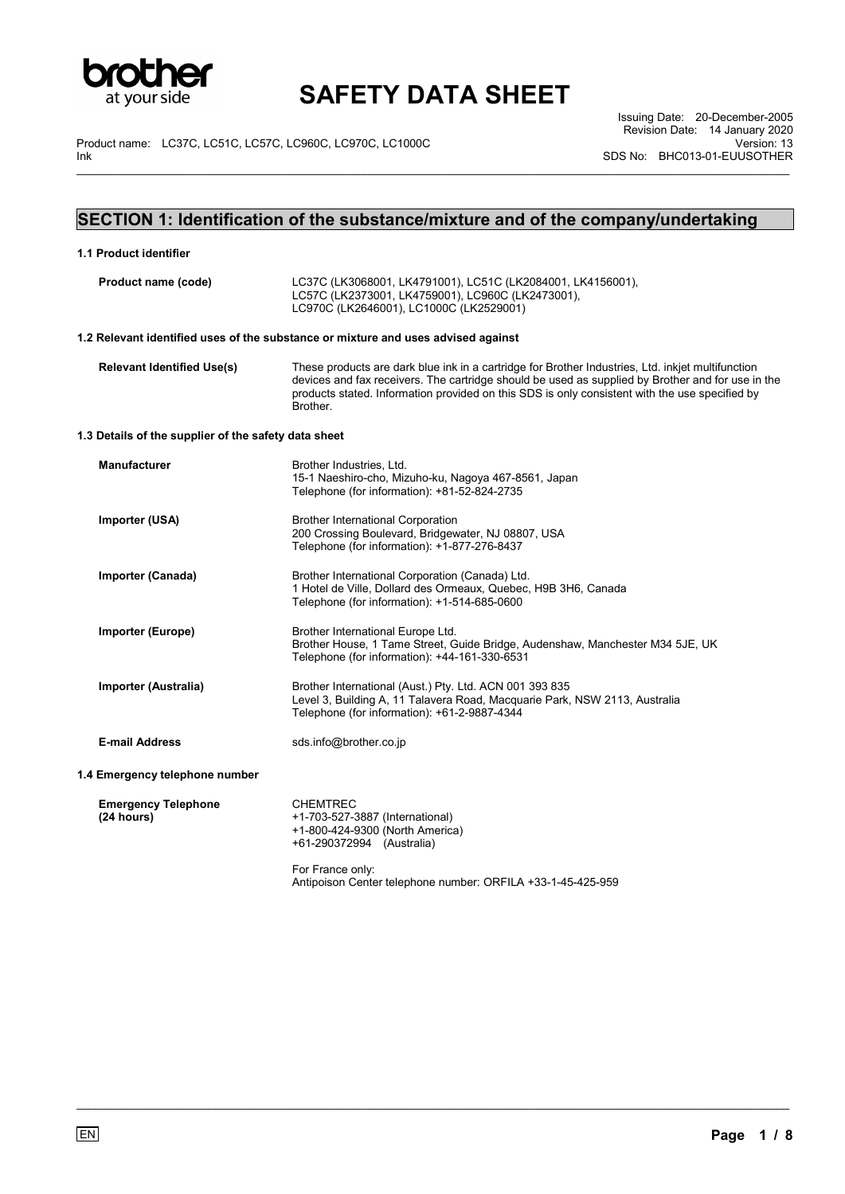

\_\_\_\_\_\_\_\_\_\_\_\_\_\_\_\_\_\_\_\_\_\_\_\_\_\_\_\_\_\_\_\_\_\_\_\_\_\_\_\_\_\_\_\_\_\_\_\_\_\_\_\_\_\_\_\_\_\_\_\_\_\_\_\_\_\_\_\_\_\_\_\_\_\_\_\_\_\_\_\_\_\_\_\_\_\_\_\_\_\_\_\_\_\_\_\_\_\_\_\_\_\_\_\_\_\_\_\_\_\_\_\_\_

Product name: LC37C, LC51C, LC57C, LC960C, LC970C, LC1000C Ink

Issuing Date: 20-December-2005 Revision Date: 14 January 2020 Version: 13 SDS No: BHC013-01-EUUSOTHER

## **SECTION 1: Identification of the substance/mixture and of the company/undertaking**

| 1.1 Product identifier                               |                                                                                                                                                                                                                                                                                                                      |
|------------------------------------------------------|----------------------------------------------------------------------------------------------------------------------------------------------------------------------------------------------------------------------------------------------------------------------------------------------------------------------|
| Product name (code)                                  | LC37C (LK3068001, LK4791001), LC51C (LK2084001, LK4156001),<br>LC57C (LK2373001, LK4759001), LC960C (LK2473001),<br>LC970C (LK2646001), LC1000C (LK2529001)                                                                                                                                                          |
|                                                      | 1.2 Relevant identified uses of the substance or mixture and uses advised against                                                                                                                                                                                                                                    |
| <b>Relevant Identified Use(s)</b>                    | These products are dark blue ink in a cartridge for Brother Industries, Ltd. inkjet multifunction<br>devices and fax receivers. The cartridge should be used as supplied by Brother and for use in the<br>products stated. Information provided on this SDS is only consistent with the use specified by<br>Brother. |
| 1.3 Details of the supplier of the safety data sheet |                                                                                                                                                                                                                                                                                                                      |
| <b>Manufacturer</b>                                  | Brother Industries, Ltd.<br>15-1 Naeshiro-cho, Mizuho-ku, Nagoya 467-8561, Japan<br>Telephone (for information): +81-52-824-2735                                                                                                                                                                                     |
| Importer (USA)                                       | <b>Brother International Corporation</b><br>200 Crossing Boulevard, Bridgewater, NJ 08807, USA<br>Telephone (for information): +1-877-276-8437                                                                                                                                                                       |
| Importer (Canada)                                    | Brother International Corporation (Canada) Ltd.<br>1 Hotel de Ville, Dollard des Ormeaux, Quebec, H9B 3H6, Canada<br>Telephone (for information): +1-514-685-0600                                                                                                                                                    |
| Importer (Europe)                                    | Brother International Europe Ltd.<br>Brother House, 1 Tame Street, Guide Bridge, Audenshaw, Manchester M34 5JE, UK<br>Telephone (for information): +44-161-330-6531                                                                                                                                                  |
| Importer (Australia)                                 | Brother International (Aust.) Pty. Ltd. ACN 001 393 835<br>Level 3, Building A, 11 Talavera Road, Macquarie Park, NSW 2113, Australia<br>Telephone (for information): +61-2-9887-4344                                                                                                                                |
| <b>E-mail Address</b>                                | sds.info@brother.co.jp                                                                                                                                                                                                                                                                                               |
| 1.4 Emergency telephone number                       |                                                                                                                                                                                                                                                                                                                      |
| <b>Emergency Telephone</b><br>(24 hours)             | <b>CHEMTREC</b><br>+1-703-527-3887 (International)<br>+1-800-424-9300 (North America)<br>+61-290372994 (Australia)<br>For France only:<br>Antipoison Center telephone number: ORFILA +33-1-45-425-959                                                                                                                |
|                                                      |                                                                                                                                                                                                                                                                                                                      |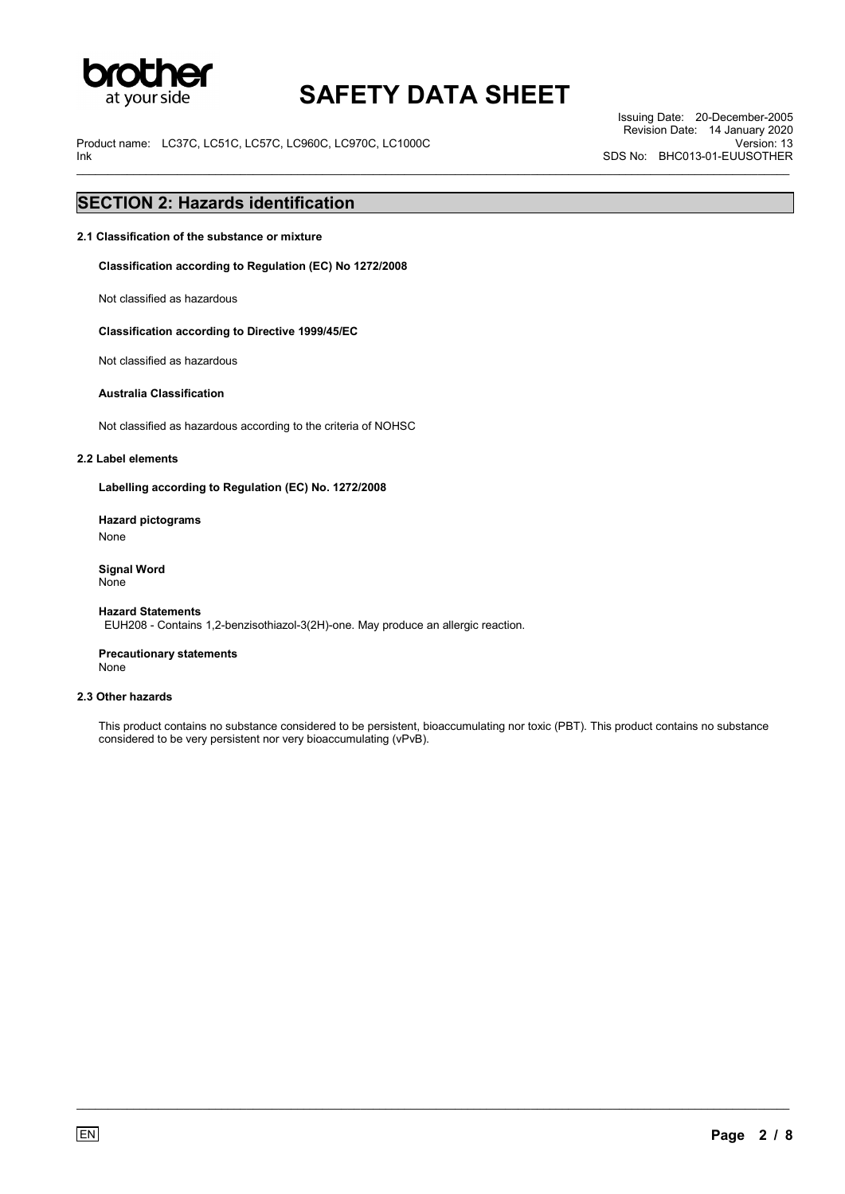

\_\_\_\_\_\_\_\_\_\_\_\_\_\_\_\_\_\_\_\_\_\_\_\_\_\_\_\_\_\_\_\_\_\_\_\_\_\_\_\_\_\_\_\_\_\_\_\_\_\_\_\_\_\_\_\_\_\_\_\_\_\_\_\_\_\_\_\_\_\_\_\_\_\_\_\_\_\_\_\_\_\_\_\_\_\_\_\_\_\_\_\_\_\_\_\_\_\_\_\_\_\_\_\_\_\_\_\_\_\_\_\_\_

Product name: LC37C, LC51C, LC57C, LC960C, LC970C, LC1000C Ink

Issuing Date: 20-December-2005 Revision Date: 14 January 2020 Version: 13 SDS No: BHC013-01-EUUSOTHER

## **SECTION 2: Hazards identification**

**2.1 Classification of the substance or mixture** 

**Classification according to Regulation (EC) No 1272/2008** 

Not classified as hazardous

**Classification according to Directive 1999/45/EC**

Not classified as hazardous

#### **Australia Classification**

Not classified as hazardous according to the criteria of NOHSC

#### **2.2 Label elements**

**Labelling according to Regulation (EC) No. 1272/2008** 

**Hazard pictograms**  None

**Signal Word** None

**Hazard Statements** EUH208 - Contains 1,2-benzisothiazol-3(2H)-one. May produce an allergic reaction.

**Precautionary statements** None

#### **2.3 Other hazards**

This product contains no substance considered to be persistent, bioaccumulating nor toxic (PBT). This product contains no substance considered to be very persistent nor very bioaccumulating (vPvB).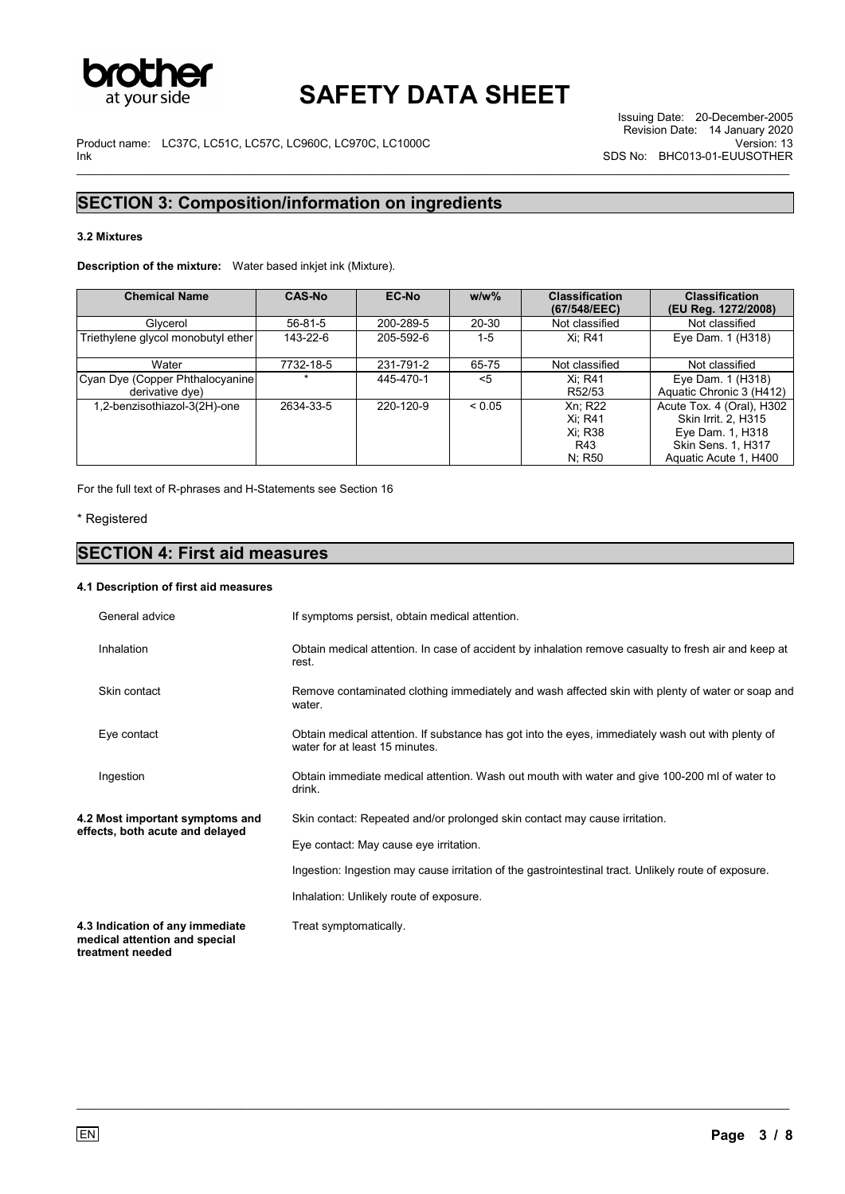

Product name: LC37C, LC51C, LC57C, LC960C, LC970C, LC1000C Ink \_\_\_\_\_\_\_\_\_\_\_\_\_\_\_\_\_\_\_\_\_\_\_\_\_\_\_\_\_\_\_\_\_\_\_\_\_\_\_\_\_\_\_\_\_\_\_\_\_\_\_\_\_\_\_\_\_\_\_\_\_\_\_\_\_\_\_\_\_\_\_\_\_\_\_\_\_\_\_\_\_\_\_\_\_\_\_\_\_\_\_\_\_\_\_\_\_\_\_\_\_\_\_\_\_\_\_\_\_\_\_\_\_

## **SECTION 3: Composition/information on ingredients**

### **3.2 Mixtures**

**Description of the mixture:** Water based inkjet ink (Mixture).

| <b>Chemical Name</b>                                | <b>CAS-No</b> | EC-No     | $w/w$ % | <b>Classification</b><br>(67/548/EEC)             | <b>Classification</b><br>(EU Reg. 1272/2008)                                                                        |
|-----------------------------------------------------|---------------|-----------|---------|---------------------------------------------------|---------------------------------------------------------------------------------------------------------------------|
| Glycerol                                            | $56 - 81 - 5$ | 200-289-5 | 20-30   | Not classified                                    | Not classified                                                                                                      |
| Triethylene glycol monobutyl ether                  | 143-22-6      | 205-592-6 | $1-5$   | Xi: R41                                           | Eye Dam. 1 (H318)                                                                                                   |
| Water                                               | 7732-18-5     | 231-791-2 | 65-75   | Not classified                                    | Not classified                                                                                                      |
| Cyan Dye (Copper Phthalocyanine)<br>derivative dye) |               | 445-470-1 | $<$ 5   | Xi: R41<br>R52/53                                 | Eye Dam. 1 (H318)<br>Aquatic Chronic 3 (H412)                                                                       |
| 1,2-benzisothiazol-3(2H)-one                        | 2634-33-5     | 220-120-9 | < 0.05  | Xn: R22<br>Xi: R41<br>Xi: R38<br>R43<br>$N$ ; R50 | Acute Tox. 4 (Oral), H302<br>Skin Irrit. 2. H315<br>Eye Dam. 1, H318<br>Skin Sens. 1, H317<br>Aquatic Acute 1, H400 |

For the full text of R-phrases and H-Statements see Section 16

### \* Registered

## **SECTION 4: First aid measures**

### **4.1 Description of first aid measures**

| General advice                                                                       | If symptoms persist, obtain medical attention.                                                                                      |
|--------------------------------------------------------------------------------------|-------------------------------------------------------------------------------------------------------------------------------------|
| Inhalation                                                                           | Obtain medical attention. In case of accident by inhalation remove casualty to fresh air and keep at<br>rest.                       |
| Skin contact                                                                         | Remove contaminated clothing immediately and wash affected skin with plenty of water or soap and<br>water.                          |
| Eye contact                                                                          | Obtain medical attention. If substance has got into the eyes, immediately wash out with plenty of<br>water for at least 15 minutes. |
| Ingestion                                                                            | Obtain immediate medical attention. Wash out mouth with water and give 100-200 ml of water to<br>drink.                             |
| 4.2 Most important symptoms and<br>effects, both acute and delayed                   | Skin contact: Repeated and/or prolonged skin contact may cause irritation.<br>Eye contact: May cause eye irritation.                |
|                                                                                      | Ingestion: Ingestion may cause irritation of the gastrointestinal tract. Unlikely route of exposure.                                |
|                                                                                      | Inhalation: Unlikely route of exposure.                                                                                             |
| 4.3 Indication of any immediate<br>medical attention and special<br>treatment needed | Treat symptomatically.                                                                                                              |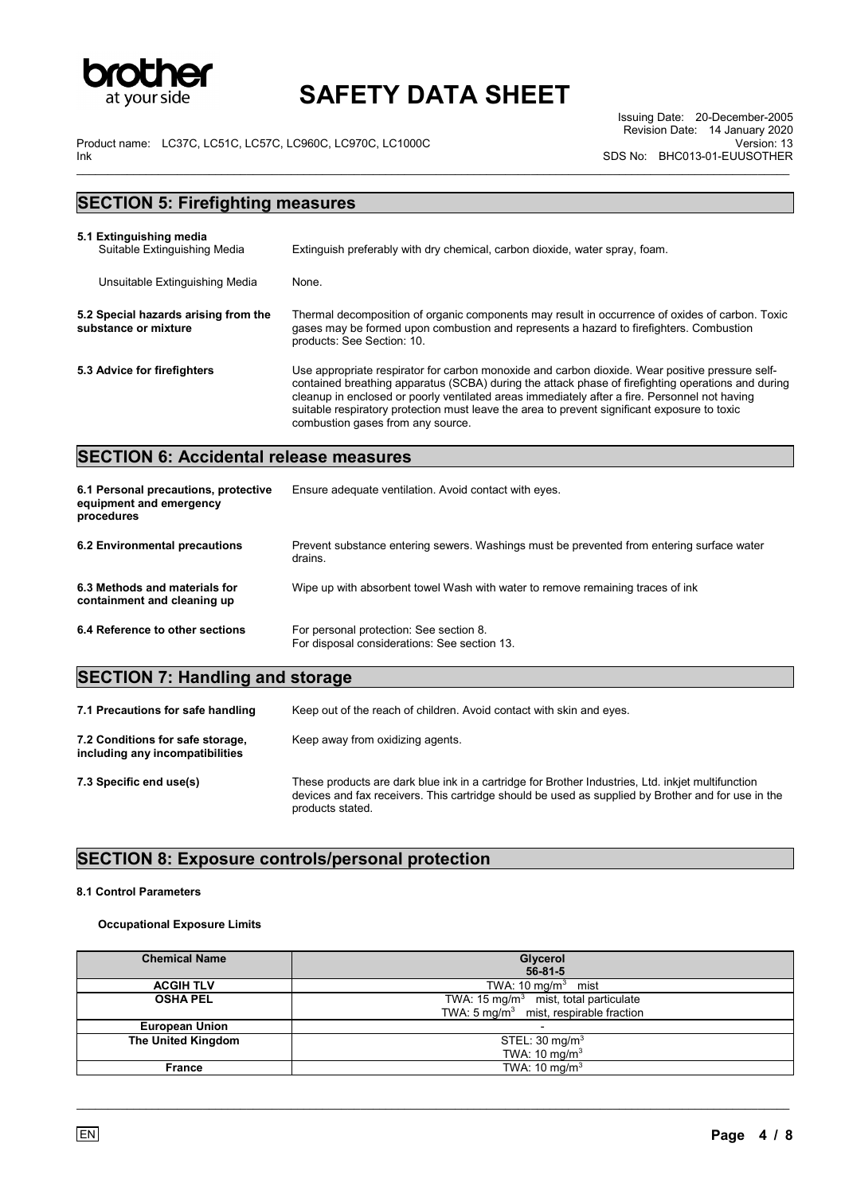

\_\_\_\_\_\_\_\_\_\_\_\_\_\_\_\_\_\_\_\_\_\_\_\_\_\_\_\_\_\_\_\_\_\_\_\_\_\_\_\_\_\_\_\_\_\_\_\_\_\_\_\_\_\_\_\_\_\_\_\_\_\_\_\_\_\_\_\_\_\_\_\_\_\_\_\_\_\_\_\_\_\_\_\_\_\_\_\_\_\_\_\_\_\_\_\_\_\_\_\_\_\_\_\_\_\_\_\_\_\_\_\_\_

Product name: LC37C, LC51C, LC57C, LC960C, LC970C, LC1000C Ink

Issuing Date: 20-December-2005 Revision Date: 14 January 2020 Version: 13 SDS No: BHC013-01-EUUSOTHER

| <b>SECTION 5: Firefighting measures</b>                      |                                                                                                                                                                                                                                                                                                                                                                                                                                             |  |
|--------------------------------------------------------------|---------------------------------------------------------------------------------------------------------------------------------------------------------------------------------------------------------------------------------------------------------------------------------------------------------------------------------------------------------------------------------------------------------------------------------------------|--|
| 5.1 Extinguishing media<br>Suitable Extinguishing Media      | Extinguish preferably with dry chemical, carbon dioxide, water spray, foam.                                                                                                                                                                                                                                                                                                                                                                 |  |
| Unsuitable Extinguishing Media                               | None.                                                                                                                                                                                                                                                                                                                                                                                                                                       |  |
| 5.2 Special hazards arising from the<br>substance or mixture | Thermal decomposition of organic components may result in occurrence of oxides of carbon. Toxic<br>gases may be formed upon combustion and represents a hazard to firefighters. Combustion<br>products: See Section: 10.                                                                                                                                                                                                                    |  |
| 5.3 Advice for firefighters                                  | Use appropriate respirator for carbon monoxide and carbon dioxide. Wear positive pressure self-<br>contained breathing apparatus (SCBA) during the attack phase of firefighting operations and during<br>cleanup in enclosed or poorly ventilated areas immediately after a fire. Personnel not having<br>suitable respiratory protection must leave the area to prevent significant exposure to toxic<br>combustion gases from any source. |  |

## **SECTION 6: Accidental release measures**

| 6.1 Personal precautions, protective<br>equipment and emergency<br>procedures | Ensure adequate ventilation. Avoid contact with eyes.                                                |
|-------------------------------------------------------------------------------|------------------------------------------------------------------------------------------------------|
| 6.2 Environmental precautions                                                 | Prevent substance entering sewers. Washings must be prevented from entering surface water<br>drains. |
| 6.3 Methods and materials for<br>containment and cleaning up                  | Wipe up with absorbent towel Wash with water to remove remaining traces of ink                       |
| 6.4 Reference to other sections                                               | For personal protection: See section 8.<br>For disposal considerations: See section 13.              |

## **SECTION 7: Handling and storage**

| 7.1 Precautions for safe handling                                   | Keep out of the reach of children. Avoid contact with skin and eyes.                                                                                                                                                        |
|---------------------------------------------------------------------|-----------------------------------------------------------------------------------------------------------------------------------------------------------------------------------------------------------------------------|
| 7.2 Conditions for safe storage.<br>including any incompatibilities | Keep away from oxidizing agents.                                                                                                                                                                                            |
| 7.3 Specific end use(s)                                             | These products are dark blue ink in a cartridge for Brother Industries, Ltd. inkjet multifunction<br>devices and fax receivers. This cartridge should be used as supplied by Brother and for use in the<br>products stated. |

## **SECTION 8: Exposure controls/personal protection**

### **8.1 Control Parameters**

### **Occupational Exposure Limits**

| <b>Chemical Name</b>  | Glycerol<br>$56 - 81 - 5$                                                                              |
|-----------------------|--------------------------------------------------------------------------------------------------------|
| <b>ACGIH TLV</b>      | TWA: 10 mg/m <sup>3</sup> mist                                                                         |
| <b>OSHA PEL</b>       | TWA: 15 mg/m <sup>3</sup> mist, total particulate<br>TWA: $5 \text{ mg/m}^3$ mist, respirable fraction |
| <b>European Union</b> |                                                                                                        |
| The United Kingdom    | STEL: $30 \text{ mg/m}^3$<br>TWA: 10 $mg/m3$                                                           |
| France                | TWA: $10 \text{ mg/m}^3$                                                                               |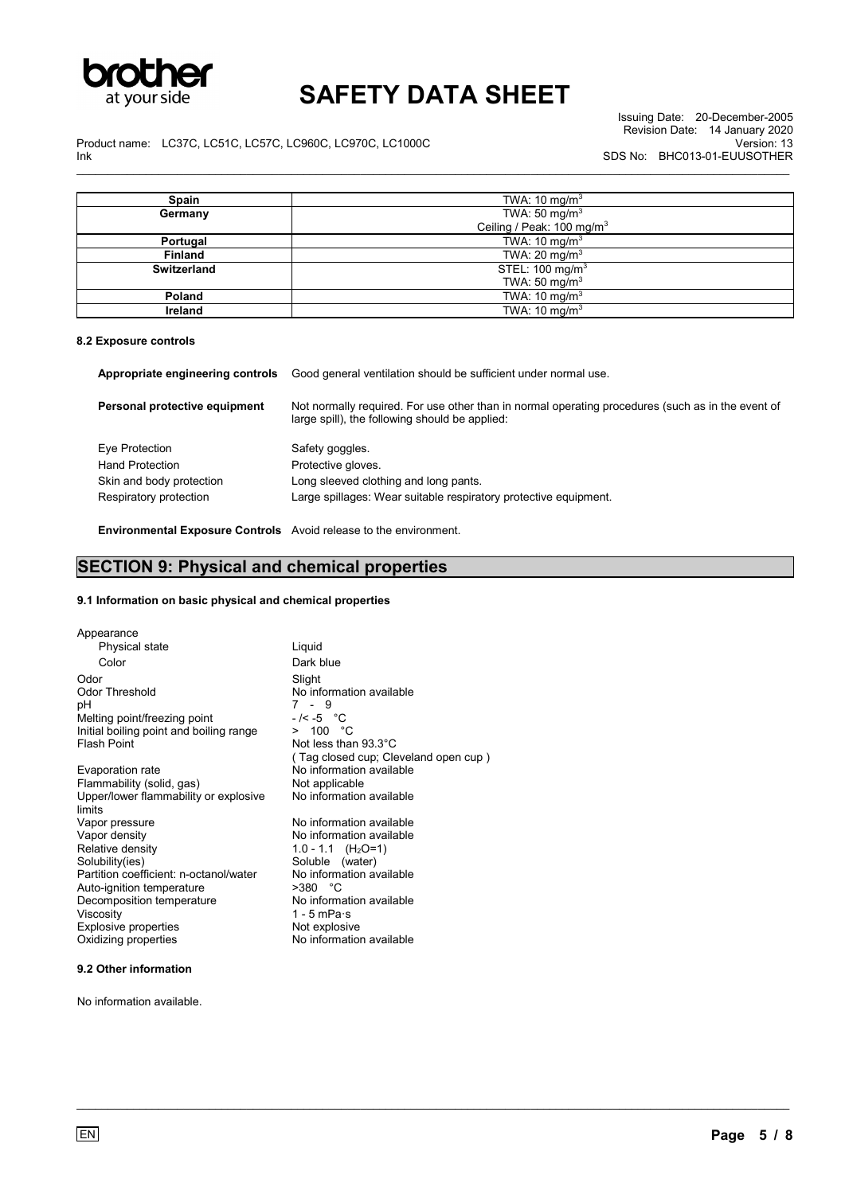

Product name: LC37C, LC51C, LC57C, LC960C, LC970C, LC1000C Ink \_\_\_\_\_\_\_\_\_\_\_\_\_\_\_\_\_\_\_\_\_\_\_\_\_\_\_\_\_\_\_\_\_\_\_\_\_\_\_\_\_\_\_\_\_\_\_\_\_\_\_\_\_\_\_\_\_\_\_\_\_\_\_\_\_\_\_\_\_\_\_\_\_\_\_\_\_\_\_\_\_\_\_\_\_\_\_\_\_\_\_\_\_\_\_\_\_\_\_\_\_\_\_\_\_\_\_\_\_\_\_\_\_

| Spain              | TWA: 10 mg/m <sup>3</sup>             |
|--------------------|---------------------------------------|
| Germany            | TWA: 50 mg/m <sup>3</sup>             |
|                    | Ceiling / Peak: 100 mg/m <sup>3</sup> |
| Portugal           | TWA: 10 mg/m <sup>3</sup>             |
| <b>Finland</b>     | TWA: 20 mg/m <sup>3</sup>             |
| <b>Switzerland</b> | STEL: 100 mg/m <sup>3</sup>           |
|                    | TWA: 50 mg/m $3$                      |
| Poland             | TWA: 10 mg/m <sup>3</sup>             |
| Ireland            | TWA: 10 mg/m <sup>3</sup>             |

#### **8.2 Exposure controls**

| Appropriate engineering controls | Good general ventilation should be sufficient under normal use.                                                                                     |
|----------------------------------|-----------------------------------------------------------------------------------------------------------------------------------------------------|
| Personal protective equipment    | Not normally required. For use other than in normal operating procedures (such as in the event of<br>large spill), the following should be applied: |
| Eye Protection                   | Safety goggles.                                                                                                                                     |
| <b>Hand Protection</b>           | Protective gloves.                                                                                                                                  |
| Skin and body protection         | Long sleeved clothing and long pants.                                                                                                               |
| Respiratory protection           | Large spillages: Wear suitable respiratory protective equipment.                                                                                    |
|                                  |                                                                                                                                                     |

\_\_\_\_\_\_\_\_\_\_\_\_\_\_\_\_\_\_\_\_\_\_\_\_\_\_\_\_\_\_\_\_\_\_\_\_\_\_\_\_\_\_\_\_\_\_\_\_\_\_\_\_\_\_\_\_\_\_\_\_\_\_\_\_\_\_\_\_\_\_\_\_\_\_\_\_\_\_\_\_\_\_\_\_\_\_\_\_\_\_\_\_\_\_\_\_\_\_\_\_\_\_\_\_\_\_\_\_\_\_\_\_\_

### **Environmental Exposure Controls** Avoid release to the environment.

# **SECTION 9: Physical and chemical properties**

## **9.1 Information on basic physical and chemical properties**

| Appearance                                      |                                      |
|-------------------------------------------------|--------------------------------------|
| Physical state                                  | Liquid                               |
| Color                                           | Dark blue                            |
| Odor                                            | Slight                               |
| <b>Odor Threshold</b>                           | No information available             |
| рH                                              | 7 - 9                                |
| Melting point/freezing point                    | - /< -5 °C                           |
| Initial boiling point and boiling range         | > 100 °C                             |
| Flash Point                                     | Not less than 93.3 $^{\circ}$ C      |
|                                                 | (Tag closed cup; Cleveland open cup) |
| Evaporation rate                                | No information available             |
| Flammability (solid, gas)                       | Not applicable                       |
| Upper/lower flammability or explosive<br>limits | No information available             |
| Vapor pressure                                  | No information available             |
| Vapor density                                   | No information available             |
| Relative density                                | 1.0 - 1.1 $(H_2O=1)$                 |
| Solubility(ies)                                 | Soluble (water)                      |
| Partition coefficient: n-octanol/water          | No information available             |
| Auto-ignition temperature                       | $>380$ °C                            |
| Decomposition temperature                       | No information available             |
| Viscosity                                       | 1 - 5 mPa $\cdot$ s                  |
| Explosive properties                            | Not explosive                        |
| Oxidizing properties                            | No information available             |
|                                                 |                                      |

## **9.2 Other information**

No information available.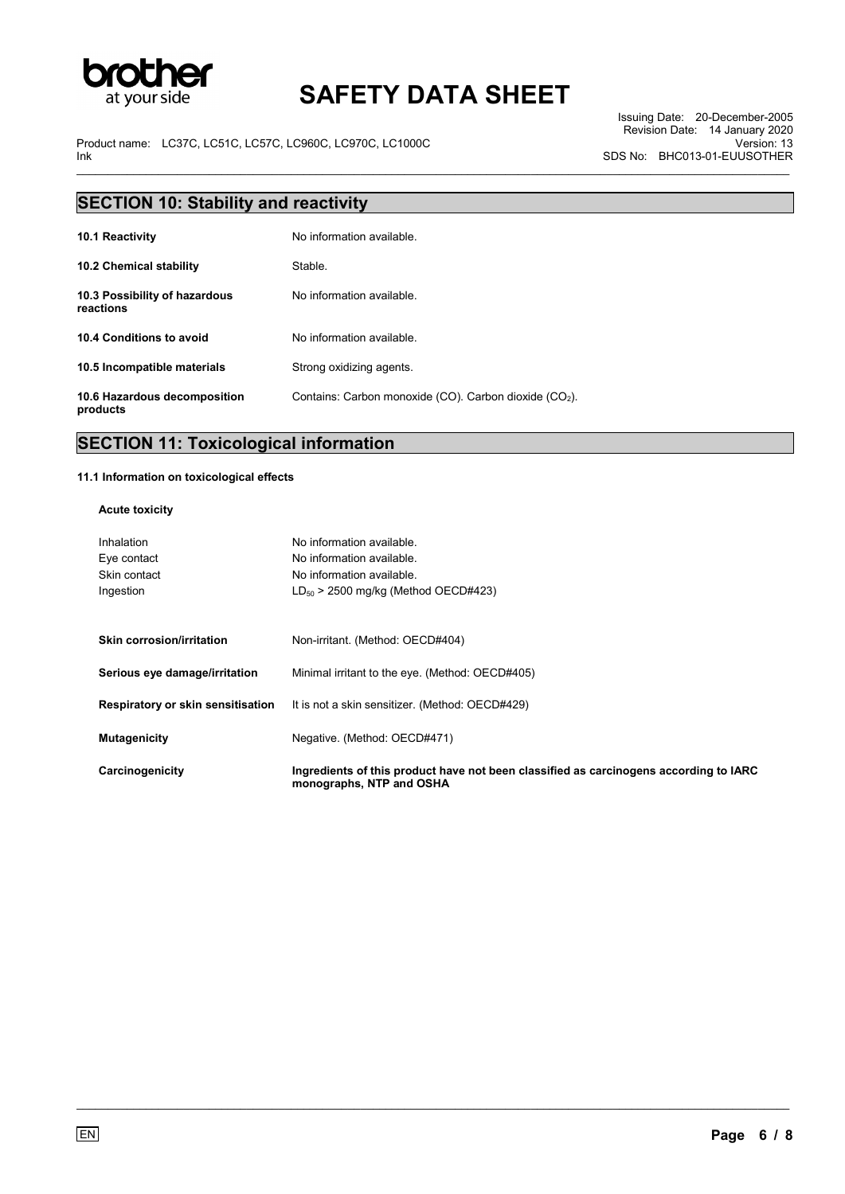

\_\_\_\_\_\_\_\_\_\_\_\_\_\_\_\_\_\_\_\_\_\_\_\_\_\_\_\_\_\_\_\_\_\_\_\_\_\_\_\_\_\_\_\_\_\_\_\_\_\_\_\_\_\_\_\_\_\_\_\_\_\_\_\_\_\_\_\_\_\_\_\_\_\_\_\_\_\_\_\_\_\_\_\_\_\_\_\_\_\_\_\_\_\_\_\_\_\_\_\_\_\_\_\_\_\_\_\_\_\_\_\_\_

Product name: LC37C, LC51C, LC57C, LC960C, LC970C, LC1000C Ink

Issuing Date: 20-December-2005 Revision Date: 14 January 2020 Version: 13 SDS No: BHC013-01-EUUSOTHER

| <b>SECTION 10: Stability and reactivity</b> |                                                                    |  |
|---------------------------------------------|--------------------------------------------------------------------|--|
| <b>10.1 Reactivity</b>                      | No information available.                                          |  |
| 10.2 Chemical stability                     | Stable.                                                            |  |
| 10.3 Possibility of hazardous<br>reactions  | No information available                                           |  |
| 10.4 Conditions to avoid                    | No information available.                                          |  |
| 10.5 Incompatible materials                 | Strong oxidizing agents.                                           |  |
| 10.6 Hazardous decomposition<br>products    | Contains: Carbon monoxide (CO). Carbon dioxide (CO <sub>2</sub> ). |  |

## **SECTION 11: Toxicological information**

### **11.1 Information on toxicological effects**

#### **Acute toxicity**

| Inhalation                        | No information available.                                                                                         |
|-----------------------------------|-------------------------------------------------------------------------------------------------------------------|
| Eye contact                       | No information available.                                                                                         |
| Skin contact                      | No information available.                                                                                         |
| Ingestion                         | $LD_{50}$ > 2500 mg/kg (Method OECD#423)                                                                          |
|                                   |                                                                                                                   |
| <b>Skin corrosion/irritation</b>  | Non-irritant. (Method: OECD#404)                                                                                  |
| Serious eye damage/irritation     | Minimal irritant to the eye. (Method: OECD#405)                                                                   |
| Respiratory or skin sensitisation | It is not a skin sensitizer. (Method: OECD#429)                                                                   |
| <b>Mutagenicity</b>               | Negative. (Method: OECD#471)                                                                                      |
| Carcinogenicity                   | Ingredients of this product have not been classified as carcinogens according to IARC<br>monographs, NTP and OSHA |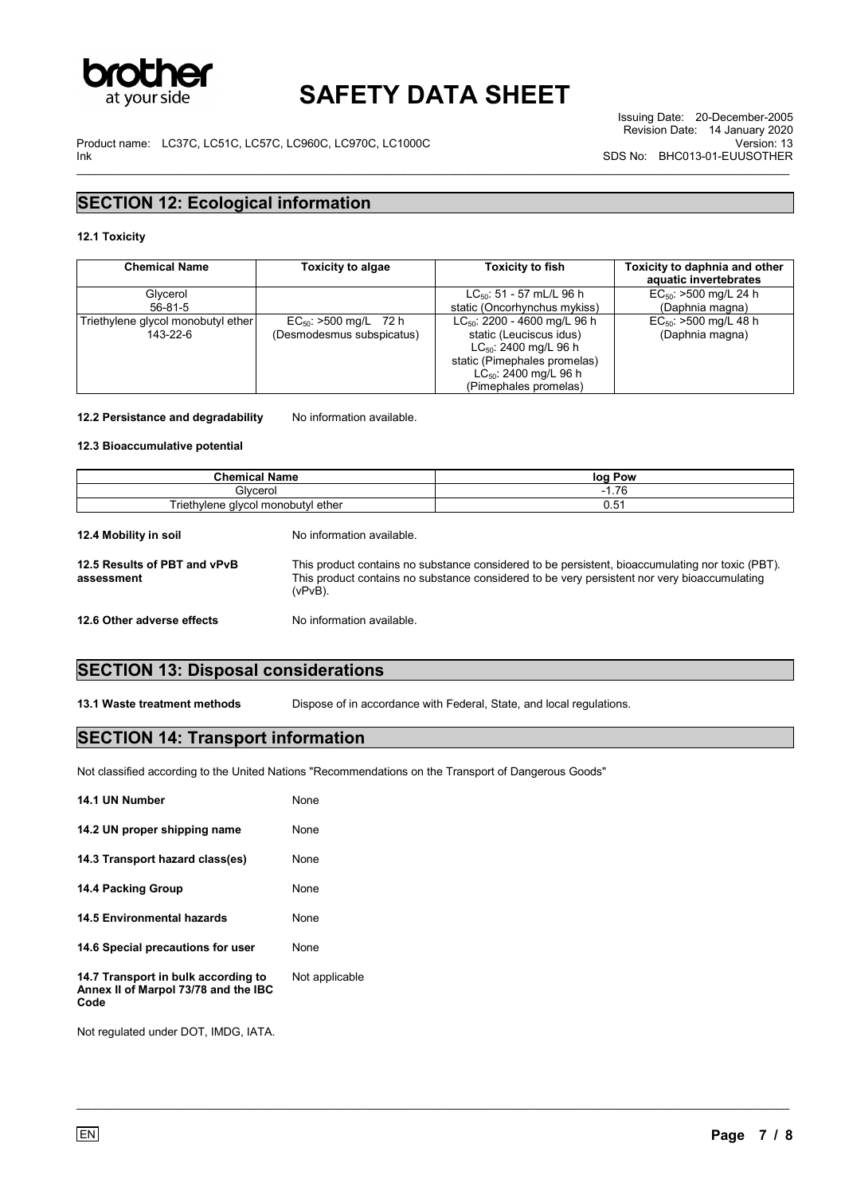

Product name: LC37C, LC51C, LC57C, LC960C, LC970C, LC1000C Ink \_\_\_\_\_\_\_\_\_\_\_\_\_\_\_\_\_\_\_\_\_\_\_\_\_\_\_\_\_\_\_\_\_\_\_\_\_\_\_\_\_\_\_\_\_\_\_\_\_\_\_\_\_\_\_\_\_\_\_\_\_\_\_\_\_\_\_\_\_\_\_\_\_\_\_\_\_\_\_\_\_\_\_\_\_\_\_\_\_\_\_\_\_\_\_\_\_\_\_\_\_\_\_\_\_\_\_\_\_\_\_\_\_

Issuing Date: 20-December-2005 Revision Date: 14 January 2020 Version: 13 SDS No: BHC013-01-EUUSOTHER

## **SECTION 12: Ecological information**

#### **12.1 Toxicity**

| <b>Chemical Name</b>               | <b>Toxicity to algae</b>   | <b>Toxicity to fish</b>                  | Toxicity to daphnia and other<br>aquatic invertebrates |
|------------------------------------|----------------------------|------------------------------------------|--------------------------------------------------------|
| Glycerol                           |                            | $LC_{50}$ : 51 - 57 mL/L 96 h            | $EC_{50}$ : >500 mg/L 24 h                             |
| 56-81-5                            |                            | static (Oncorhynchus mykiss)             | (Daphnia magna)                                        |
| Triethylene glycol monobutyl ether | $EC_{50}$ : >500 mg/L 72 h | LC <sub>50</sub> : 2200 - 4600 mg/L 96 h | $EC_{50}$ : >500 mg/L 48 h                             |
| 143-22-6                           | (Desmodesmus subspicatus)  | static (Leuciscus idus)                  | (Daphnia magna)                                        |
|                                    |                            | $LC_{50}$ : 2400 mg/L 96 h               |                                                        |
|                                    |                            | static (Pimephales promelas)             |                                                        |
|                                    |                            | $LC_{50}$ : 2400 mg/L 96 h               |                                                        |
|                                    |                            | (Pimephales promelas)                    |                                                        |

12.2 Persistance and degradability No information available.

### **12.3 Bioaccumulative potential**

| <b>Chemical Name</b><br>Glvcerol<br>Triethylene glycol monobutyl ether |                                                                                                                                                                                                                | log Pow         |                       |
|------------------------------------------------------------------------|----------------------------------------------------------------------------------------------------------------------------------------------------------------------------------------------------------------|-----------------|-----------------------|
|                                                                        |                                                                                                                                                                                                                | $-1.76$<br>0.51 |                       |
|                                                                        |                                                                                                                                                                                                                |                 | 12.4 Mobility in soil |
| 12.5 Results of PBT and vPvB<br>assessment                             | This product contains no substance considered to be persistent, bioaccumulating nor toxic (PBT).<br>This product contains no substance considered to be very persistent nor very bioaccumulating<br>$(vPvB)$ . |                 |                       |
| 12.6 Other adverse effects                                             | No information available.                                                                                                                                                                                      |                 |                       |

# **SECTION 13: Disposal considerations**

**13.1 Waste treatment methods** Dispose of in accordance with Federal, State, and local regulations.

\_\_\_\_\_\_\_\_\_\_\_\_\_\_\_\_\_\_\_\_\_\_\_\_\_\_\_\_\_\_\_\_\_\_\_\_\_\_\_\_\_\_\_\_\_\_\_\_\_\_\_\_\_\_\_\_\_\_\_\_\_\_\_\_\_\_\_\_\_\_\_\_\_\_\_\_\_\_\_\_\_\_\_\_\_\_\_\_\_\_\_\_\_\_\_\_\_\_\_\_\_\_\_\_\_\_\_\_\_\_\_\_\_

## **SECTION 14: Transport information**

Not classified according to the United Nations "Recommendations on the Transport of Dangerous Goods"

| 14.1 UN Number                                                                      | None           |
|-------------------------------------------------------------------------------------|----------------|
| 14.2 UN proper shipping name                                                        | None           |
| 14.3 Transport hazard class(es)                                                     | None           |
| 14.4 Packing Group                                                                  | None           |
| 14.5 Environmental hazards                                                          | None           |
| 14.6 Special precautions for user                                                   | None           |
| 14.7 Transport in bulk according to<br>Annex II of Marpol 73/78 and the IBC<br>Code | Not applicable |

Not regulated under DOT, IMDG, IATA.